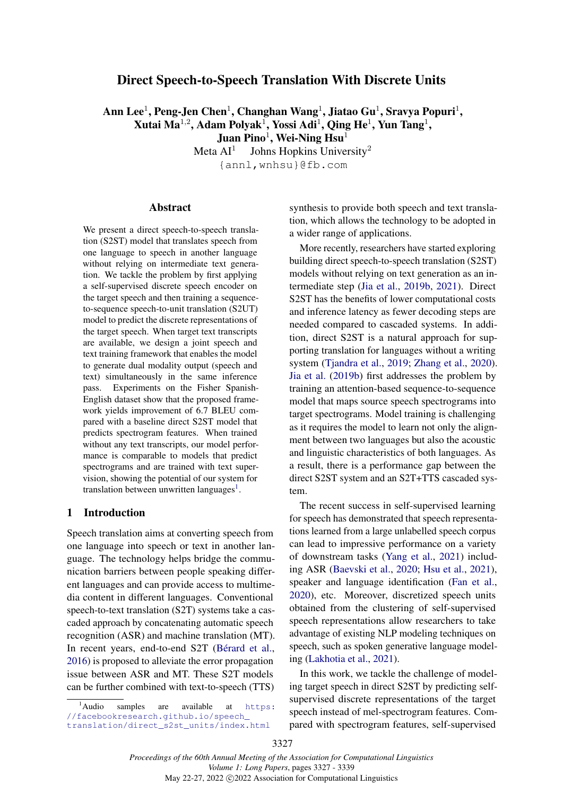## <span id="page-0-1"></span>Direct Speech-to-Speech Translation With Discrete Units

Ann Lee $^1$ , Peng-Jen Chen $^1$ , Changhan Wang $^1$ , Jiatao Gu $^1$ , Sravya Popuri $^1,$ Xutai Ma $^{1,2}$ , Adam Polyak $^1$ , Yossi Adi $^1$ , Qing He $^1$ , Yun Tang $^1$ , Juan Pino $^1$ , Wei-Ning Hsu $^1$ 

> Meta  $AI<sup>1</sup>$ Johns Hopkins University<sup>2</sup> {annl,wnhsu}@fb.com

#### Abstract

We present a direct speech-to-speech translation (S2ST) model that translates speech from one language to speech in another language without relying on intermediate text generation. We tackle the problem by first applying a self-supervised discrete speech encoder on the target speech and then training a sequenceto-sequence speech-to-unit translation (S2UT) model to predict the discrete representations of the target speech. When target text transcripts are available, we design a joint speech and text training framework that enables the model to generate dual modality output (speech and text) simultaneously in the same inference pass. Experiments on the Fisher Spanish-English dataset show that the proposed framework yields improvement of 6.7 BLEU compared with a baseline direct S2ST model that predicts spectrogram features. When trained without any text transcripts, our model performance is comparable to models that predict spectrograms and are trained with text supervision, showing the potential of our system for translation between unwritten languages<sup>[1](#page-0-0)</sup>.

### 1 Introduction

Speech translation aims at converting speech from one language into speech or text in another language. The technology helps bridge the communication barriers between people speaking different languages and can provide access to multimedia content in different languages. Conventional speech-to-text translation (S2T) systems take a cascaded approach by concatenating automatic speech recognition (ASR) and machine translation (MT). In recent years, end-to-end S2T [\(Bérard et al.,](#page-8-0) [2016\)](#page-8-0) is proposed to alleviate the error propagation issue between ASR and MT. These S2T models can be further combined with text-to-speech (TTS)

synthesis to provide both speech and text translation, which allows the technology to be adopted in a wider range of applications.

More recently, researchers have started exploring building direct speech-to-speech translation (S2ST) models without relying on text generation as an intermediate step [\(Jia et al.,](#page-9-0) [2019b,](#page-9-0) [2021\)](#page-9-1). Direct S2ST has the benefits of lower computational costs and inference latency as fewer decoding steps are needed compared to cascaded systems. In addition, direct S2ST is a natural approach for supporting translation for languages without a writing system [\(Tjandra et al.,](#page-10-0) [2019;](#page-10-0) [Zhang et al.,](#page-10-1) [2020\)](#page-10-1). [Jia et al.](#page-9-0) [\(2019b\)](#page-9-0) first addresses the problem by training an attention-based sequence-to-sequence model that maps source speech spectrograms into target spectrograms. Model training is challenging as it requires the model to learn not only the alignment between two languages but also the acoustic and linguistic characteristics of both languages. As a result, there is a performance gap between the direct S2ST system and an S2T+TTS cascaded system.

The recent success in self-supervised learning for speech has demonstrated that speech representations learned from a large unlabelled speech corpus can lead to impressive performance on a variety of downstream tasks [\(Yang et al.,](#page-10-2) [2021\)](#page-10-2) including ASR [\(Baevski et al.,](#page-8-1) [2020;](#page-8-1) [Hsu et al.,](#page-8-2) [2021\)](#page-8-2), speaker and language identification [\(Fan et al.,](#page-8-3) [2020\)](#page-8-3), etc. Moreover, discretized speech units obtained from the clustering of self-supervised speech representations allow researchers to take advantage of existing NLP modeling techniques on speech, such as spoken generative language modeling [\(Lakhotia et al.,](#page-9-2) [2021\)](#page-9-2).

In this work, we tackle the challenge of modeling target speech in direct S2ST by predicting selfsupervised discrete representations of the target speech instead of mel-spectrogram features. Compared with spectrogram features, self-supervised

<span id="page-0-0"></span><sup>&</sup>lt;sup>1</sup>Audio samples are available at [https:](https://facebookresearch.github.io/speech_translation/direct_s2st_units/index.html) [//facebookresearch.github.io/speech\\_](https://facebookresearch.github.io/speech_translation/direct_s2st_units/index.html) [translation/direct\\_s2st\\_units/index.html](https://facebookresearch.github.io/speech_translation/direct_s2st_units/index.html)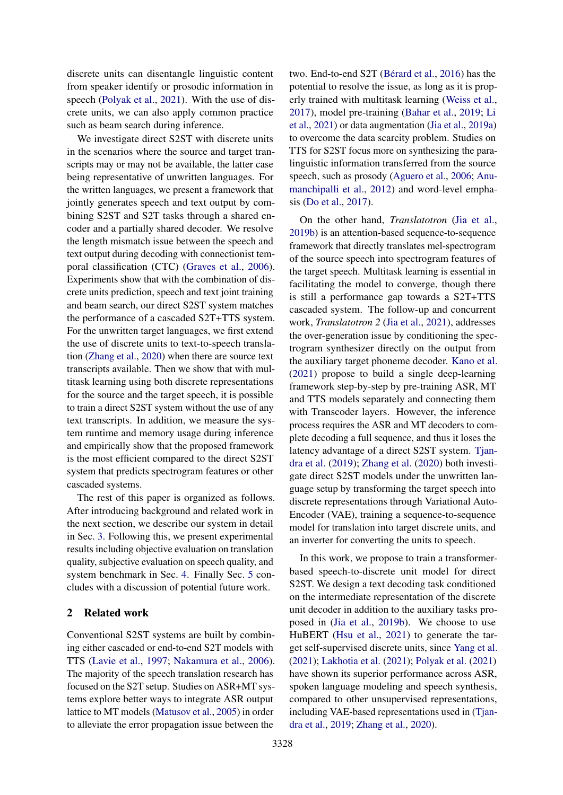discrete units can disentangle linguistic content from speaker identify or prosodic information in speech [\(Polyak et al.,](#page-9-3) [2021\)](#page-9-3). With the use of discrete units, we can also apply common practice such as beam search during inference.

We investigate direct S2ST with discrete units in the scenarios where the source and target transcripts may or may not be available, the latter case being representative of unwritten languages. For the written languages, we present a framework that jointly generates speech and text output by combining S2ST and S2T tasks through a shared encoder and a partially shared decoder. We resolve the length mismatch issue between the speech and text output during decoding with connectionist temporal classification (CTC) [\(Graves et al.,](#page-8-4) [2006\)](#page-8-4). Experiments show that with the combination of discrete units prediction, speech and text joint training and beam search, our direct S2ST system matches the performance of a cascaded S2T+TTS system. For the unwritten target languages, we first extend the use of discrete units to text-to-speech translation [\(Zhang et al.,](#page-10-1) [2020\)](#page-10-1) when there are source text transcripts available. Then we show that with multitask learning using both discrete representations for the source and the target speech, it is possible to train a direct S2ST system without the use of any text transcripts. In addition, we measure the system runtime and memory usage during inference and empirically show that the proposed framework is the most efficient compared to the direct S2ST system that predicts spectrogram features or other cascaded systems.

The rest of this paper is organized as follows. After introducing background and related work in the next section, we describe our system in detail in Sec. [3.](#page-2-0) Following this, we present experimental results including objective evaluation on translation quality, subjective evaluation on speech quality, and system benchmark in Sec. [4.](#page-3-0) Finally Sec. [5](#page-8-5) concludes with a discussion of potential future work.

### 2 Related work

Conventional S2ST systems are built by combining either cascaded or end-to-end S2T models with TTS [\(Lavie et al.,](#page-9-4) [1997;](#page-9-4) [Nakamura et al.,](#page-9-5) [2006\)](#page-9-5). The majority of the speech translation research has focused on the S2T setup. Studies on ASR+MT systems explore better ways to integrate ASR output lattice to MT models [\(Matusov et al.,](#page-9-6) [2005\)](#page-9-6) in order to alleviate the error propagation issue between the

two. End-to-end S2T [\(Bérard et al.,](#page-8-0) [2016\)](#page-8-0) has the potential to resolve the issue, as long as it is properly trained with multitask learning [\(Weiss et al.,](#page-10-3) [2017\)](#page-10-3), model pre-training [\(Bahar et al.,](#page-8-6) [2019;](#page-8-6) [Li](#page-9-7) [et al.,](#page-9-7) [2021\)](#page-9-7) or data augmentation [\(Jia et al.,](#page-8-7) [2019a\)](#page-8-7) to overcome the data scarcity problem. Studies on TTS for S2ST focus more on synthesizing the paralinguistic information transferred from the source speech, such as prosody [\(Aguero et al.,](#page-8-8) [2006;](#page-8-8) [Anu](#page-8-9)[manchipalli et al.,](#page-8-9) [2012\)](#page-8-9) and word-level emphasis [\(Do et al.,](#page-8-10) [2017\)](#page-8-10).

On the other hand, *Translatotron* [\(Jia et al.,](#page-9-0) [2019b\)](#page-9-0) is an attention-based sequence-to-sequence framework that directly translates mel-spectrogram of the source speech into spectrogram features of the target speech. Multitask learning is essential in facilitating the model to converge, though there is still a performance gap towards a S2T+TTS cascaded system. The follow-up and concurrent work, *Translatotron 2* [\(Jia et al.,](#page-9-1) [2021\)](#page-9-1), addresses the over-generation issue by conditioning the spectrogram synthesizer directly on the output from the auxiliary target phoneme decoder. [Kano et al.](#page-9-8) [\(2021\)](#page-9-8) propose to build a single deep-learning framework step-by-step by pre-training ASR, MT and TTS models separately and connecting them with Transcoder layers. However, the inference process requires the ASR and MT decoders to complete decoding a full sequence, and thus it loses the latency advantage of a direct S2ST system. [Tjan](#page-10-0)[dra et al.](#page-10-0) [\(2019\)](#page-10-0); [Zhang et al.](#page-10-1) [\(2020\)](#page-10-1) both investigate direct S2ST models under the unwritten language setup by transforming the target speech into discrete representations through Variational Auto-Encoder (VAE), training a sequence-to-sequence model for translation into target discrete units, and an inverter for converting the units to speech.

In this work, we propose to train a transformerbased speech-to-discrete unit model for direct S2ST. We design a text decoding task conditioned on the intermediate representation of the discrete unit decoder in addition to the auxiliary tasks proposed in [\(Jia et al.,](#page-9-0) [2019b\)](#page-9-0). We choose to use HuBERT [\(Hsu et al.,](#page-8-2) [2021\)](#page-8-2) to generate the target self-supervised discrete units, since [Yang et al.](#page-10-2) [\(2021\)](#page-10-2); [Lakhotia et al.](#page-9-2) [\(2021\)](#page-9-2); [Polyak et al.](#page-9-3) [\(2021\)](#page-9-3) have shown its superior performance across ASR, spoken language modeling and speech synthesis, compared to other unsupervised representations, including VAE-based representations used in [\(Tjan](#page-10-0)[dra et al.,](#page-10-0) [2019;](#page-10-0) [Zhang et al.,](#page-10-1) [2020\)](#page-10-1).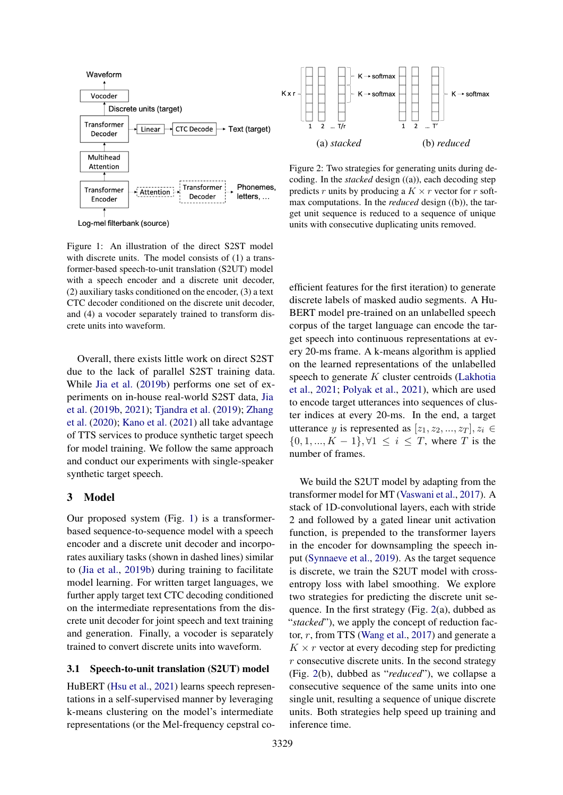

Log-mel filterbank (source)

Figure 1: An illustration of the direct S2ST model with discrete units. The model consists of (1) a transformer-based speech-to-unit translation (S2UT) model with a speech encoder and a discrete unit decoder, (2) auxiliary tasks conditioned on the encoder, (3) a text CTC decoder conditioned on the discrete unit decoder, and (4) a vocoder separately trained to transform discrete units into waveform.

<span id="page-2-1"></span>Overall, there exists little work on direct S2ST due to the lack of parallel S2ST training data. While [Jia et al.](#page-9-0) [\(2019b\)](#page-9-0) performs one set of experiments on in-house real-world S2ST data, [Jia](#page-9-0) [et al.](#page-9-0) [\(2019b,](#page-9-0) [2021\)](#page-9-1); [Tjandra et al.](#page-10-0) [\(2019\)](#page-10-0); [Zhang](#page-10-1) [et al.](#page-10-1) [\(2020\)](#page-10-1); [Kano et al.](#page-9-8) [\(2021\)](#page-9-8) all take advantage of TTS services to produce synthetic target speech for model training. We follow the same approach and conduct our experiments with single-speaker synthetic target speech.

#### <span id="page-2-0"></span>3 Model

Our proposed system (Fig. [1\)](#page-2-1) is a transformerbased sequence-to-sequence model with a speech encoder and a discrete unit decoder and incorporates auxiliary tasks (shown in dashed lines) similar to [\(Jia et al.,](#page-9-0) [2019b\)](#page-9-0) during training to facilitate model learning. For written target languages, we further apply target text CTC decoding conditioned on the intermediate representations from the discrete unit decoder for joint speech and text training and generation. Finally, a vocoder is separately trained to convert discrete units into waveform.

#### 3.1 Speech-to-unit translation (S2UT) model

HuBERT [\(Hsu et al.,](#page-8-2) [2021\)](#page-8-2) learns speech representations in a self-supervised manner by leveraging k-means clustering on the model's intermediate representations (or the Mel-frequency cepstral co-

<span id="page-2-2"></span>

Figure 2: Two strategies for generating units during decoding. In the *stacked* design ((a)), each decoding step predicts r units by producing a  $K \times r$  vector for r softmax computations. In the *reduced* design ((b)), the target unit sequence is reduced to a sequence of unique units with consecutive duplicating units removed.

efficient features for the first iteration) to generate discrete labels of masked audio segments. A Hu-BERT model pre-trained on an unlabelled speech corpus of the target language can encode the target speech into continuous representations at every 20-ms frame. A k-means algorithm is applied on the learned representations of the unlabelled speech to generate  $K$  cluster centroids [\(Lakhotia](#page-9-2) [et al.,](#page-9-2) [2021;](#page-9-2) [Polyak et al.,](#page-9-3) [2021\)](#page-9-3), which are used to encode target utterances into sequences of cluster indices at every 20-ms. In the end, a target utterance y is represented as  $[z_1, z_2, ..., z_T], z_i \in$  $\{0, 1, ..., K - 1\}, \forall 1 \leq i \leq T$ , where T is the number of frames.

We build the S2UT model by adapting from the transformer model for MT [\(Vaswani et al.,](#page-10-4) [2017\)](#page-10-4). A stack of 1D-convolutional layers, each with stride 2 and followed by a gated linear unit activation function, is prepended to the transformer layers in the encoder for downsampling the speech input [\(Synnaeve et al.,](#page-9-9) [2019\)](#page-9-9). As the target sequence is discrete, we train the S2UT model with crossentropy loss with label smoothing. We explore two strategies for predicting the discrete unit sequence. In the first strategy (Fig. [2\(](#page-2-2)a), dubbed as "*stacked*"), we apply the concept of reduction factor, r, from TTS [\(Wang et al.,](#page-10-5) [2017\)](#page-10-5) and generate a  $K \times r$  vector at every decoding step for predicting  $r$  consecutive discrete units. In the second strategy (Fig. [2\(](#page-2-2)b), dubbed as "*reduced*"), we collapse a consecutive sequence of the same units into one single unit, resulting a sequence of unique discrete units. Both strategies help speed up training and inference time.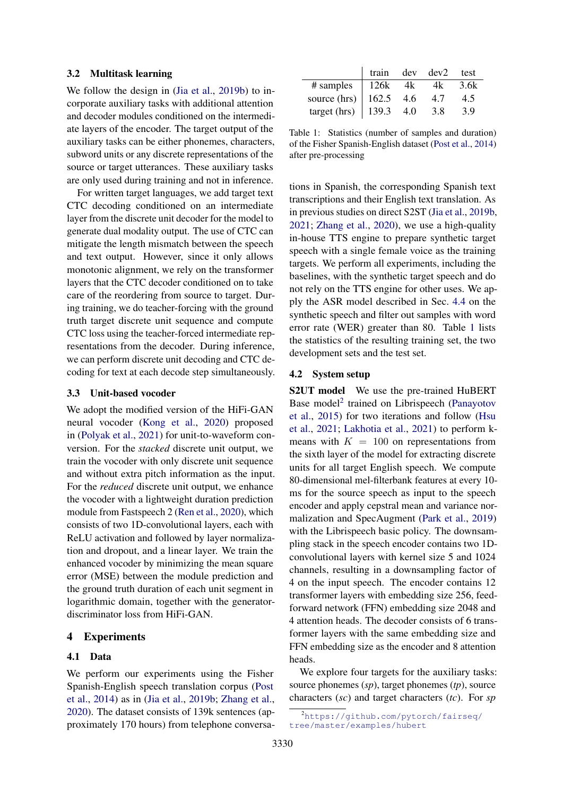#### 3.2 Multitask learning

We follow the design in [\(Jia et al.,](#page-9-0) [2019b\)](#page-9-0) to incorporate auxiliary tasks with additional attention and decoder modules conditioned on the intermediate layers of the encoder. The target output of the auxiliary tasks can be either phonemes, characters, subword units or any discrete representations of the source or target utterances. These auxiliary tasks are only used during training and not in inference.

For written target languages, we add target text CTC decoding conditioned on an intermediate layer from the discrete unit decoder for the model to generate dual modality output. The use of CTC can mitigate the length mismatch between the speech and text output. However, since it only allows monotonic alignment, we rely on the transformer layers that the CTC decoder conditioned on to take care of the reordering from source to target. During training, we do teacher-forcing with the ground truth target discrete unit sequence and compute CTC loss using the teacher-forced intermediate representations from the decoder. During inference, we can perform discrete unit decoding and CTC decoding for text at each decode step simultaneously.

#### 3.3 Unit-based vocoder

We adopt the modified version of the HiFi-GAN neural vocoder [\(Kong et al.,](#page-9-10) [2020\)](#page-9-10) proposed in [\(Polyak et al.,](#page-9-3) [2021\)](#page-9-3) for unit-to-waveform conversion. For the *stacked* discrete unit output, we train the vocoder with only discrete unit sequence and without extra pitch information as the input. For the *reduced* discrete unit output, we enhance the vocoder with a lightweight duration prediction module from Fastspeech 2 [\(Ren et al.,](#page-9-11) [2020\)](#page-9-11), which consists of two 1D-convolutional layers, each with ReLU activation and followed by layer normalization and dropout, and a linear layer. We train the enhanced vocoder by minimizing the mean square error (MSE) between the module prediction and the ground truth duration of each unit segment in logarithmic domain, together with the generatordiscriminator loss from HiFi-GAN.

#### <span id="page-3-0"></span>4 Experiments

#### 4.1 Data

We perform our experiments using the Fisher Spanish-English speech translation corpus [\(Post](#page-9-12) [et al.,](#page-9-12) [2014\)](#page-9-12) as in [\(Jia et al.,](#page-9-0) [2019b;](#page-9-0) [Zhang et al.,](#page-10-1) [2020\)](#page-10-1). The dataset consists of 139k sentences (approximately 170 hours) from telephone conversa-

<span id="page-3-1"></span>

|              | train | dev | dev2 | test |
|--------------|-------|-----|------|------|
| # samples    | 126k  | 4k  | 4k   | 3.6k |
| source (hrs) | 162.5 | 4.6 | 4.7  | 4.5  |
| target (hrs) | 139.3 | 4.0 | 3.8  | 3.9  |

Table 1: Statistics (number of samples and duration) of the Fisher Spanish-English dataset [\(Post et al.,](#page-9-12) [2014\)](#page-9-12) after pre-processing

tions in Spanish, the corresponding Spanish text transcriptions and their English text translation. As in previous studies on direct S2ST [\(Jia et al.,](#page-9-0) [2019b,](#page-9-0) [2021;](#page-9-1) [Zhang et al.,](#page-10-1) [2020\)](#page-10-1), we use a high-quality in-house TTS engine to prepare synthetic target speech with a single female voice as the training targets. We perform all experiments, including the baselines, with the synthetic target speech and do not rely on the TTS engine for other uses. We apply the ASR model described in Sec. [4.4](#page-4-0) on the synthetic speech and filter out samples with word error rate (WER) greater than 80. Table [1](#page-3-1) lists the statistics of the resulting training set, the two development sets and the test set.

#### <span id="page-3-3"></span>4.2 System setup

S2UT model We use the pre-trained HuBERT Base model<sup>[2](#page-3-2)</sup> trained on Librispeech [\(Panayotov](#page-9-13) [et al.,](#page-9-13) [2015\)](#page-9-13) for two iterations and follow [\(Hsu](#page-8-2) [et al.,](#page-8-2) [2021;](#page-8-2) [Lakhotia et al.,](#page-9-2) [2021\)](#page-9-2) to perform kmeans with  $K = 100$  on representations from the sixth layer of the model for extracting discrete units for all target English speech. We compute 80-dimensional mel-filterbank features at every 10 ms for the source speech as input to the speech encoder and apply cepstral mean and variance normalization and SpecAugment [\(Park et al.,](#page-9-14) [2019\)](#page-9-14) with the Librispeech basic policy. The downsampling stack in the speech encoder contains two 1Dconvolutional layers with kernel size 5 and 1024 channels, resulting in a downsampling factor of 4 on the input speech. The encoder contains 12 transformer layers with embedding size 256, feedforward network (FFN) embedding size 2048 and 4 attention heads. The decoder consists of 6 transformer layers with the same embedding size and FFN embedding size as the encoder and 8 attention heads.

We explore four targets for the auxiliary tasks: source phonemes (*sp*), target phonemes (*tp*), source characters (*sc*) and target characters (*tc*). For *sp*

<span id="page-3-2"></span><sup>2</sup>[https://github.com/pytorch/fairseq/](https://github.com/pytorch/fairseq/tree/master/examples/hubert) [tree/master/examples/hubert](https://github.com/pytorch/fairseq/tree/master/examples/hubert)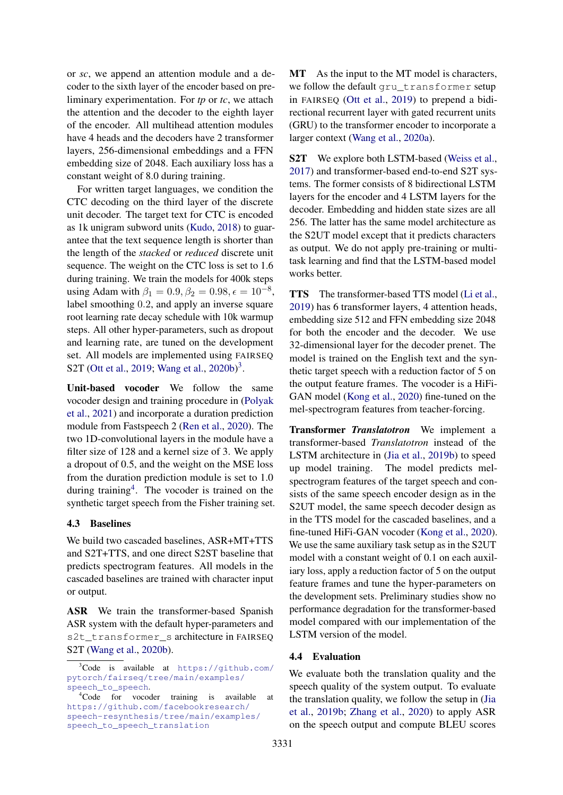or *sc*, we append an attention module and a decoder to the sixth layer of the encoder based on preliminary experimentation. For *tp* or *tc*, we attach the attention and the decoder to the eighth layer of the encoder. All multihead attention modules have 4 heads and the decoders have 2 transformer layers, 256-dimensional embeddings and a FFN embedding size of 2048. Each auxiliary loss has a constant weight of 8.0 during training.

For written target languages, we condition the CTC decoding on the third layer of the discrete unit decoder. The target text for CTC is encoded as 1k unigram subword units [\(Kudo,](#page-9-15) [2018\)](#page-9-15) to guarantee that the text sequence length is shorter than the length of the *stacked* or *reduced* discrete unit sequence. The weight on the CTC loss is set to 1.6 during training. We train the models for 400k steps using Adam with  $\beta_1 = 0.9, \beta_2 = 0.98, \epsilon = 10^{-8}$ , label smoothing 0.2, and apply an inverse square root learning rate decay schedule with 10k warmup steps. All other hyper-parameters, such as dropout and learning rate, are tuned on the development set. All models are implemented using FAIRSEQ S2T [\(Ott et al.,](#page-9-16) [2019;](#page-9-16) [Wang et al.,](#page-10-6) [2020b\)](#page-10-6)<sup>[3](#page-4-1)</sup>.

Unit-based vocoder We follow the same vocoder design and training procedure in [\(Polyak](#page-9-3) [et al.,](#page-9-3) [2021\)](#page-9-3) and incorporate a duration prediction module from Fastspeech 2 [\(Ren et al.,](#page-9-11) [2020\)](#page-9-11). The two 1D-convolutional layers in the module have a filter size of 128 and a kernel size of 3. We apply a dropout of 0.5, and the weight on the MSE loss from the duration prediction module is set to 1.0 during training<sup>[4](#page-4-2)</sup>. The vocoder is trained on the synthetic target speech from the Fisher training set.

#### <span id="page-4-3"></span>4.3 Baselines

We build two cascaded baselines, ASR+MT+TTS and S2T+TTS, and one direct S2ST baseline that predicts spectrogram features. All models in the cascaded baselines are trained with character input or output.

ASR We train the transformer-based Spanish ASR system with the default hyper-parameters and s2t\_transformer\_s architecture in FAIRSEQ S2T [\(Wang et al.,](#page-10-6) [2020b\)](#page-10-6).

MT As the input to the MT model is characters, we follow the default gru\_transformer setup in FAIRSEQ [\(Ott et al.,](#page-9-16) [2019\)](#page-9-16) to prepend a bidirectional recurrent layer with gated recurrent units (GRU) to the transformer encoder to incorporate a larger context [\(Wang et al.,](#page-10-7) [2020a\)](#page-10-7).

S2T We explore both LSTM-based [\(Weiss et al.,](#page-10-3) [2017\)](#page-10-3) and transformer-based end-to-end S2T systems. The former consists of 8 bidirectional LSTM layers for the encoder and 4 LSTM layers for the decoder. Embedding and hidden state sizes are all 256. The latter has the same model architecture as the S2UT model except that it predicts characters as output. We do not apply pre-training or multitask learning and find that the LSTM-based model works better.

TTS The transformer-based TTS model [\(Li et al.,](#page-9-17) [2019\)](#page-9-17) has 6 transformer layers, 4 attention heads, embedding size 512 and FFN embedding size 2048 for both the encoder and the decoder. We use 32-dimensional layer for the decoder prenet. The model is trained on the English text and the synthetic target speech with a reduction factor of 5 on the output feature frames. The vocoder is a HiFi-GAN model [\(Kong et al.,](#page-9-10) [2020\)](#page-9-10) fine-tuned on the mel-spectrogram features from teacher-forcing.

Transformer *Translatotron* We implement a transformer-based *Translatotron* instead of the LSTM architecture in [\(Jia et al.,](#page-9-0) [2019b\)](#page-9-0) to speed up model training. The model predicts melspectrogram features of the target speech and consists of the same speech encoder design as in the S2UT model, the same speech decoder design as in the TTS model for the cascaded baselines, and a fine-tuned HiFi-GAN vocoder [\(Kong et al.,](#page-9-10) [2020\)](#page-9-10). We use the same auxiliary task setup as in the S2UT model with a constant weight of 0.1 on each auxiliary loss, apply a reduction factor of 5 on the output feature frames and tune the hyper-parameters on the development sets. Preliminary studies show no performance degradation for the transformer-based model compared with our implementation of the LSTM version of the model.

#### <span id="page-4-0"></span>4.4 Evaluation

We evaluate both the translation quality and the speech quality of the system output. To evaluate the translation quality, we follow the setup in [\(Jia](#page-9-0) [et al.,](#page-9-0) [2019b;](#page-9-0) [Zhang et al.,](#page-10-1) [2020\)](#page-10-1) to apply ASR on the speech output and compute BLEU scores

<span id="page-4-1"></span><sup>3</sup>Code is available at [https://github.com/](https://github.com/pytorch/fairseq/tree/main/examples/speech_to_speech) [pytorch/fairseq/tree/main/examples/](https://github.com/pytorch/fairseq/tree/main/examples/speech_to_speech) [speech\\_to\\_speech](https://github.com/pytorch/fairseq/tree/main/examples/speech_to_speech).

<span id="page-4-2"></span><sup>4</sup>Code for vocoder training is available at [https://github.com/facebookresearch/](https://github.com/facebookresearch/speech-resynthesis/tree/main/examples/speech_to_speech_translation) [speech-resynthesis/tree/main/examples/](https://github.com/facebookresearch/speech-resynthesis/tree/main/examples/speech_to_speech_translation) [speech\\_to\\_speech\\_translation](https://github.com/facebookresearch/speech-resynthesis/tree/main/examples/speech_to_speech_translation)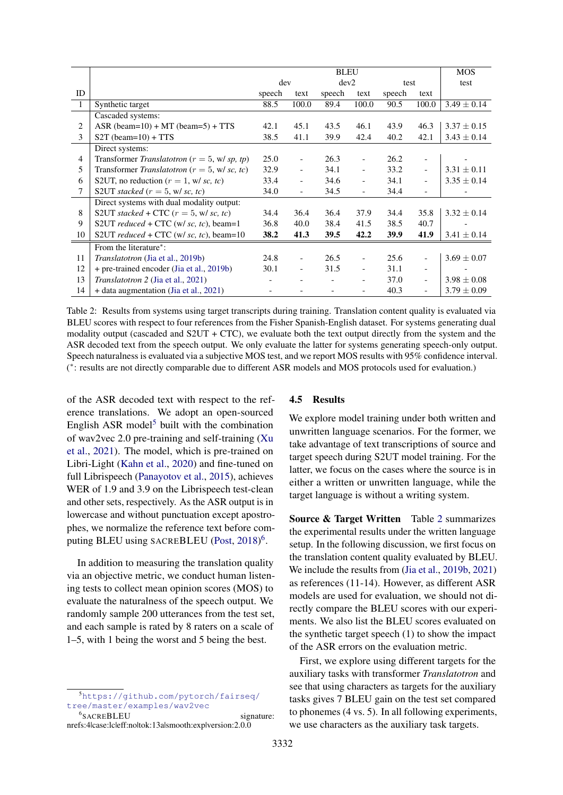<span id="page-5-2"></span>

|                |                                                  | <b>BLEU</b> |                          |        |                          |        | <b>MOS</b>               |                 |
|----------------|--------------------------------------------------|-------------|--------------------------|--------|--------------------------|--------|--------------------------|-----------------|
|                |                                                  | dev         |                          | dev2   |                          | test   |                          | test            |
| ID             | speech                                           |             | text                     | speech | text                     | speech | text                     |                 |
| $\overline{1}$ | Synthetic target                                 | 88.5        | 100.0                    | 89.4   | 100.0                    | 90.5   | 100.0                    | $3.49 \pm 0.14$ |
|                | Cascaded systems:                                |             |                          |        |                          |        |                          |                 |
| 2              | ASR (beam= $10$ ) + MT (beam= $5$ ) + TTS        | 42.1        | 45.1                     | 43.5   | 46.1                     | 43.9   | 46.3                     | $3.37 \pm 0.15$ |
| 3              | $S2T$ (beam=10) + TTS                            | 38.5        | 41.1                     | 39.9   | 42.4                     | 40.2   | 42.1                     | $3.43 \pm 0.14$ |
|                | Direct systems:                                  |             |                          |        |                          |        |                          |                 |
| 4              | Transformer Translatotron ( $r = 5$ , w/sp, tp)  | 25.0        |                          | 26.3   | $\overline{\phantom{a}}$ | 26.2   | $\overline{\phantom{a}}$ |                 |
| 5              | Transformer Translatotron ( $r = 5$ , w/ sc, tc) |             | $\overline{\phantom{a}}$ | 34.1   | $\overline{\phantom{0}}$ | 33.2   | $\overline{\phantom{a}}$ | $3.31 \pm 0.11$ |
| 6              | S2UT, no reduction $(r = 1, w/sc, tc)$           |             | $\overline{\phantom{a}}$ | 34.6   | $\overline{\phantom{a}}$ | 34.1   | $\overline{\phantom{a}}$ | $3.35 \pm 0.14$ |
| 7              | S2UT stacked $(r = 5, w/sc, tc)$                 |             | $\overline{\phantom{0}}$ | 34.5   | $\overline{\phantom{a}}$ | 34.4   | $\overline{\phantom{a}}$ |                 |
|                | Direct systems with dual modality output:        |             |                          |        |                          |        |                          |                 |
| 8              | S2UT stacked + CTC $(r = 5, w/sc, tc)$           | 34.4        | 36.4                     | 36.4   | 37.9                     | 34.4   | 35.8                     | $3.32 \pm 0.14$ |
| 9              | S2UT reduced + CTC (w/ sc, tc), beam=1           |             | 40.0                     | 38.4   | 41.5                     | 38.5   | 40.7                     |                 |
| 10             | S2UT reduced + CTC (w/ sc, tc), beam=10          |             | 41.3                     | 39.5   | 42.2                     | 39.9   | 41.9                     | $3.41 \pm 0.14$ |
|                | From the literature <sup>*</sup> :               |             |                          |        |                          |        |                          |                 |
| 11             | <i>Translatotron</i> (Jia et al., 2019b)         | 24.8        |                          | 26.5   |                          | 25.6   | $\overline{\phantom{0}}$ | $3.69 \pm 0.07$ |
| 12             | + pre-trained encoder (Jia et al., 2019b)        | 30.1        | $\overline{\phantom{a}}$ | 31.5   | $\overline{\phantom{a}}$ | 31.1   | $\overline{\phantom{a}}$ |                 |
| 13             | <i>Translatotron 2 (Jia et al., 2021)</i>        |             |                          |        | $\overline{\phantom{a}}$ | 37.0   | $\overline{\phantom{a}}$ | $3.98 \pm 0.08$ |
| 14             | + data augmentation (Jia et al., 2021)           |             |                          |        | $\overline{\phantom{0}}$ | 40.3   | $\overline{\phantom{0}}$ | $3.79 \pm 0.09$ |

Table 2: Results from systems using target transcripts during training. Translation content quality is evaluated via BLEU scores with respect to four references from the Fisher Spanish-English dataset. For systems generating dual modality output (cascaded and  $S2UT + CTC$ ), we evaluate both the text output directly from the system and the ASR decoded text from the speech output. We only evaluate the latter for systems generating speech-only output. Speech naturalness is evaluated via a subjective MOS test, and we report MOS results with 95% confidence interval. ( ∗ : results are not directly comparable due to different ASR models and MOS protocols used for evaluation.)

of the ASR decoded text with respect to the reference translations. We adopt an open-sourced English ASR model<sup>[5](#page-5-0)</sup> built with the combination of wav2vec 2.0 pre-training and self-training [\(Xu](#page-10-8) [et al.,](#page-10-8) [2021\)](#page-10-8). The model, which is pre-trained on Libri-Light [\(Kahn et al.,](#page-9-18) [2020\)](#page-9-18) and fine-tuned on full Librispeech [\(Panayotov et al.,](#page-9-13) [2015\)](#page-9-13), achieves WER of 1.9 and 3.9 on the Librispeech test-clean and other sets, respectively. As the ASR output is in lowercase and without punctuation except apostrophes, we normalize the reference text before com-puting BLEU using SACREBLEU [\(Post,](#page-9-19) [2018\)](#page-9-19)<sup>[6](#page-5-1)</sup>.

In addition to measuring the translation quality via an objective metric, we conduct human listening tests to collect mean opinion scores (MOS) to evaluate the naturalness of the speech output. We randomly sample 200 utterances from the test set, and each sample is rated by 8 raters on a scale of 1–5, with 1 being the worst and 5 being the best.

# 4.5 Results

We explore model training under both written and unwritten language scenarios. For the former, we take advantage of text transcriptions of source and target speech during S2UT model training. For the latter, we focus on the cases where the source is in either a written or unwritten language, while the target language is without a writing system.

Source & Target Written Table [2](#page-5-2) summarizes the experimental results under the written language setup. In the following discussion, we first focus on the translation content quality evaluated by BLEU. We include the results from [\(Jia et al.,](#page-9-0) [2019b,](#page-9-0) [2021\)](#page-9-1) as references (11-14). However, as different ASR models are used for evaluation, we should not directly compare the BLEU scores with our experiments. We also list the BLEU scores evaluated on the synthetic target speech (1) to show the impact of the ASR errors on the evaluation metric.

First, we explore using different targets for the auxiliary tasks with transformer *Translatotron* and see that using characters as targets for the auxiliary tasks gives 7 BLEU gain on the test set compared to phonemes (4 vs. 5). In all following experiments, we use characters as the auxiliary task targets.

<span id="page-5-0"></span><sup>5</sup>[https://github.com/pytorch/fairseq/](https://github.com/pytorch/fairseq/tree/master/examples/wav2vec) [tree/master/examples/wav2vec](https://github.com/pytorch/fairseq/tree/master/examples/wav2vec)

<span id="page-5-1"></span><sup>&</sup>lt;sup>6</sup>SACREBLEU signature: nrefs:4|case:lc|eff:no|tok:13a|smooth:exp|version:2.0.0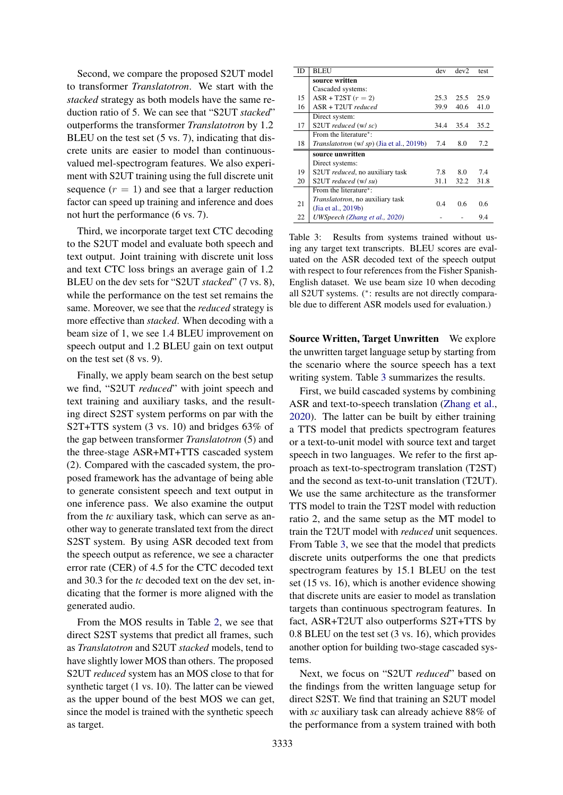Second, we compare the proposed S2UT model to transformer *Translatotron*. We start with the *stacked* strategy as both models have the same reduction ratio of 5. We can see that "S2UT *stacked*" outperforms the transformer *Translatotron* by 1.2 BLEU on the test set (5 vs. 7), indicating that discrete units are easier to model than continuousvalued mel-spectrogram features. We also experiment with S2UT training using the full discrete unit sequence  $(r = 1)$  and see that a larger reduction factor can speed up training and inference and does not hurt the performance (6 vs. 7).

Third, we incorporate target text CTC decoding to the S2UT model and evaluate both speech and text output. Joint training with discrete unit loss and text CTC loss brings an average gain of 1.2 BLEU on the dev sets for "S2UT *stacked*" (7 vs. 8), while the performance on the test set remains the same. Moreover, we see that the *reduced* strategy is more effective than *stacked*. When decoding with a beam size of 1, we see 1.4 BLEU improvement on speech output and 1.2 BLEU gain on text output on the test set (8 vs. 9).

Finally, we apply beam search on the best setup we find, "S2UT *reduced*" with joint speech and text training and auxiliary tasks, and the resulting direct S2ST system performs on par with the S2T+TTS system (3 vs. 10) and bridges 63% of the gap between transformer *Translatotron* (5) and the three-stage ASR+MT+TTS cascaded system (2). Compared with the cascaded system, the proposed framework has the advantage of being able to generate consistent speech and text output in one inference pass. We also examine the output from the *tc* auxiliary task, which can serve as another way to generate translated text from the direct S2ST system. By using ASR decoded text from the speech output as reference, we see a character error rate (CER) of 4.5 for the CTC decoded text and 30.3 for the *tc* decoded text on the dev set, indicating that the former is more aligned with the generated audio.

From the MOS results in Table [2,](#page-5-2) we see that direct S2ST systems that predict all frames, such as *Translatotron* and S2UT *stacked* models, tend to have slightly lower MOS than others. The proposed S2UT *reduced* system has an MOS close to that for synthetic target (1 vs. 10). The latter can be viewed as the upper bound of the best MOS we can get, since the model is trained with the synthetic speech as target.

<span id="page-6-0"></span>

| ID | <b>BLEU</b>                                      | dev  | dev2 | test |
|----|--------------------------------------------------|------|------|------|
|    | source written                                   |      |      |      |
|    | Cascaded systems:                                |      |      |      |
| 15 | $ASR + T2ST$ ( $r = 2$ )                         | 25.3 | 25.5 | 25.9 |
| 16 | $ASR + T2UTT$ reduced                            | 39.9 | 40.6 | 41.0 |
|    | Direct system:                                   |      |      |      |
| 17 | S2UT reduced (w/ sc)                             | 34.4 | 35.4 | 35.2 |
|    | From the literature <sup>*</sup> :               |      |      |      |
| 18 | <i>Translatotron</i> (w/ sp) (Jia et al., 2019b) | 7.4  | 8.0  | 7.2  |
|    | source unwritten                                 |      |      |      |
|    | Direct systems:                                  |      |      |      |
| 19 | S2UT <i>reduced</i> , no auxiliary task          | 7.8  | 8.0  | 7.4  |
| 20 | S2UT reduced (w/ su)                             | 31.1 | 32.2 | 31.8 |
|    | From the literature <sup>*</sup> :               |      |      |      |
| 21 | Translatotron, no auxiliary task                 | 0.4  | 0.6  | 0.6  |
|    | (Jia et al., 2019b)                              |      |      |      |
| 22 | UWSpeech (Zhang et al., 2020)                    |      |      | 9.4  |

Table 3: Results from systems trained without using any target text transcripts. BLEU scores are evaluated on the ASR decoded text of the speech output with respect to four references from the Fisher Spanish-English dataset. We use beam size 10 when decoding all S2UT systems. (<sup>∗</sup> : results are not directly comparable due to different ASR models used for evaluation.)

Source Written, Target Unwritten We explore the unwritten target language setup by starting from the scenario where the source speech has a text writing system. Table [3](#page-6-0) summarizes the results.

First, we build cascaded systems by combining ASR and text-to-speech translation [\(Zhang et al.,](#page-10-1) [2020\)](#page-10-1). The latter can be built by either training a TTS model that predicts spectrogram features or a text-to-unit model with source text and target speech in two languages. We refer to the first approach as text-to-spectrogram translation (T2ST) and the second as text-to-unit translation (T2UT). We use the same architecture as the transformer TTS model to train the T2ST model with reduction ratio 2, and the same setup as the MT model to train the T2UT model with *reduced* unit sequences. From Table [3,](#page-6-0) we see that the model that predicts discrete units outperforms the one that predicts spectrogram features by 15.1 BLEU on the test set (15 vs. 16), which is another evidence showing that discrete units are easier to model as translation targets than continuous spectrogram features. In fact, ASR+T2UT also outperforms S2T+TTS by 0.8 BLEU on the test set (3 vs. 16), which provides another option for building two-stage cascaded systems.

Next, we focus on "S2UT *reduced*" based on the findings from the written language setup for direct S2ST. We find that training an S2UT model with *sc* auxiliary task can already achieve 88% of the performance from a system trained with both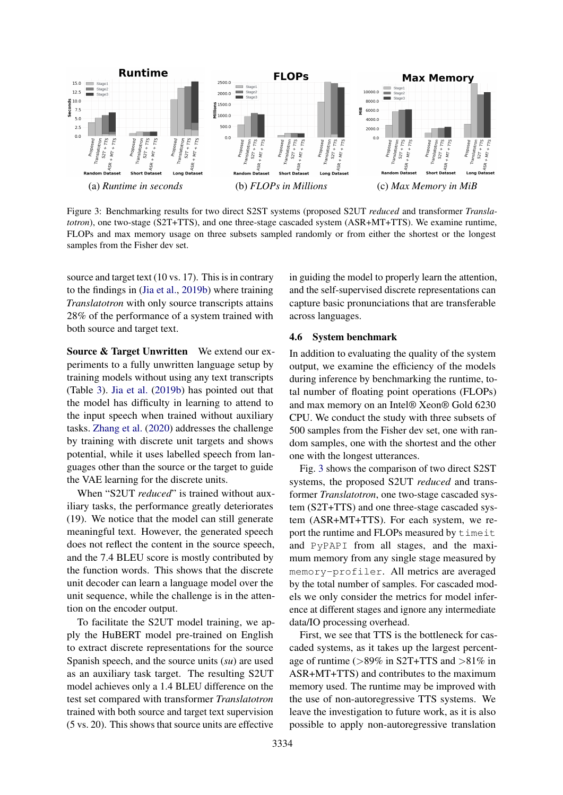<span id="page-7-0"></span>

Figure 3: Benchmarking results for two direct S2ST systems (proposed S2UT *reduced* and transformer *Translatotron*), one two-stage (S2T+TTS), and one three-stage cascaded system (ASR+MT+TTS). We examine runtime, FLOPs and max memory usage on three subsets sampled randomly or from either the shortest or the longest samples from the Fisher dev set.

source and target text (10 vs. 17). This is in contrary to the findings in [\(Jia et al.,](#page-9-0) [2019b\)](#page-9-0) where training *Translatotron* with only source transcripts attains 28% of the performance of a system trained with both source and target text.

Source & Target Unwritten We extend our experiments to a fully unwritten language setup by training models without using any text transcripts (Table [3\)](#page-6-0). [Jia et al.](#page-9-0) [\(2019b\)](#page-9-0) has pointed out that the model has difficulty in learning to attend to the input speech when trained without auxiliary tasks. [Zhang et al.](#page-10-1) [\(2020\)](#page-10-1) addresses the challenge by training with discrete unit targets and shows potential, while it uses labelled speech from languages other than the source or the target to guide the VAE learning for the discrete units.

When "S2UT *reduced*" is trained without auxiliary tasks, the performance greatly deteriorates (19). We notice that the model can still generate meaningful text. However, the generated speech does not reflect the content in the source speech, and the 7.4 BLEU score is mostly contributed by the function words. This shows that the discrete unit decoder can learn a language model over the unit sequence, while the challenge is in the attention on the encoder output.

To facilitate the S2UT model training, we apply the HuBERT model pre-trained on English to extract discrete representations for the source Spanish speech, and the source units (*su*) are used as an auxiliary task target. The resulting S2UT model achieves only a 1.4 BLEU difference on the test set compared with transformer *Translatotron* trained with both source and target text supervision (5 vs. 20). This shows that source units are effective

in guiding the model to properly learn the attention, and the self-supervised discrete representations can capture basic pronunciations that are transferable across languages.

#### 4.6 System benchmark

In addition to evaluating the quality of the system output, we examine the efficiency of the models during inference by benchmarking the runtime, total number of floating point operations (FLOPs) and max memory on an Intel® Xeon® Gold 6230 CPU. We conduct the study with three subsets of 500 samples from the Fisher dev set, one with random samples, one with the shortest and the other one with the longest utterances.

Fig. [3](#page-7-0) shows the comparison of two direct S2ST systems, the proposed S2UT *reduced* and transformer *Translatotron*, one two-stage cascaded system (S2T+TTS) and one three-stage cascaded system (ASR+MT+TTS). For each system, we report the runtime and FLOPs measured by timeit and PyPAPI from all stages, and the maximum memory from any single stage measured by memory-profiler. All metrics are averaged by the total number of samples. For cascaded models we only consider the metrics for model inference at different stages and ignore any intermediate data/IO processing overhead.

First, we see that TTS is the bottleneck for cascaded systems, as it takes up the largest percentage of runtime (>89% in S2T+TTS and >81% in ASR+MT+TTS) and contributes to the maximum memory used. The runtime may be improved with the use of non-autoregressive TTS systems. We leave the investigation to future work, as it is also possible to apply non-autoregressive translation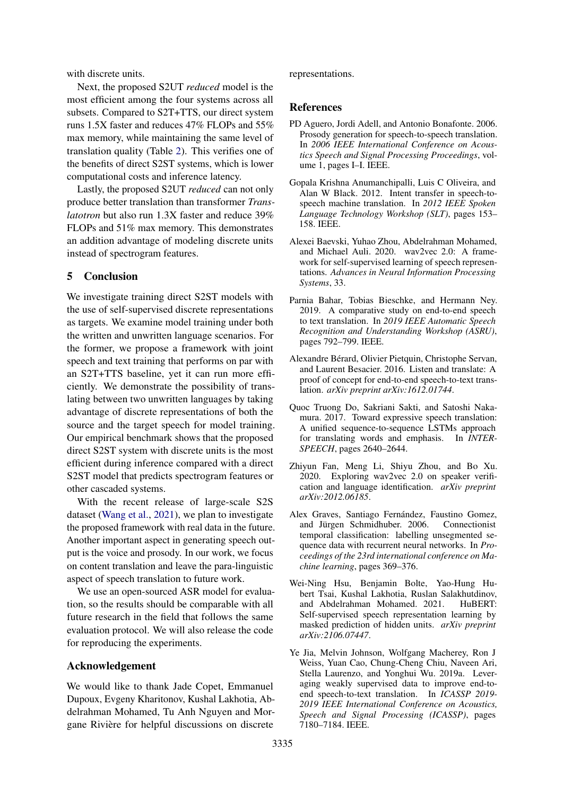with discrete units.

Next, the proposed S2UT *reduced* model is the most efficient among the four systems across all subsets. Compared to S2T+TTS, our direct system runs 1.5X faster and reduces 47% FLOPs and 55% max memory, while maintaining the same level of translation quality (Table [2\)](#page-5-2). This verifies one of the benefits of direct S2ST systems, which is lower computational costs and inference latency.

Lastly, the proposed S2UT *reduced* can not only produce better translation than transformer *Translatotron* but also run 1.3X faster and reduce 39% FLOPs and 51% max memory. This demonstrates an addition advantage of modeling discrete units instead of spectrogram features.

### <span id="page-8-5"></span>5 Conclusion

We investigate training direct S2ST models with the use of self-supervised discrete representations as targets. We examine model training under both the written and unwritten language scenarios. For the former, we propose a framework with joint speech and text training that performs on par with an S2T+TTS baseline, yet it can run more efficiently. We demonstrate the possibility of translating between two unwritten languages by taking advantage of discrete representations of both the source and the target speech for model training. Our empirical benchmark shows that the proposed direct S2ST system with discrete units is the most efficient during inference compared with a direct S2ST model that predicts spectrogram features or other cascaded systems.

With the recent release of large-scale S2S dataset [\(Wang et al.,](#page-10-9) [2021\)](#page-10-9), we plan to investigate the proposed framework with real data in the future. Another important aspect in generating speech output is the voice and prosody. In our work, we focus on content translation and leave the para-linguistic aspect of speech translation to future work.

We use an open-sourced ASR model for evaluation, so the results should be comparable with all future research in the field that follows the same evaluation protocol. We will also release the code for reproducing the experiments.

### Acknowledgement

We would like to thank Jade Copet, Emmanuel Dupoux, Evgeny Kharitonov, Kushal Lakhotia, Abdelrahman Mohamed, Tu Anh Nguyen and Morgane Rivière for helpful discussions on discrete

representations.

#### References

- <span id="page-8-8"></span>PD Aguero, Jordi Adell, and Antonio Bonafonte. 2006. Prosody generation for speech-to-speech translation. In *2006 IEEE International Conference on Acoustics Speech and Signal Processing Proceedings*, volume 1, pages I–I. IEEE.
- <span id="page-8-9"></span>Gopala Krishna Anumanchipalli, Luis C Oliveira, and Alan W Black. 2012. Intent transfer in speech-tospeech machine translation. In *2012 IEEE Spoken Language Technology Workshop (SLT)*, pages 153– 158. IEEE.
- <span id="page-8-1"></span>Alexei Baevski, Yuhao Zhou, Abdelrahman Mohamed, and Michael Auli. 2020. wav2vec 2.0: A framework for self-supervised learning of speech representations. *Advances in Neural Information Processing Systems*, 33.
- <span id="page-8-6"></span>Parnia Bahar, Tobias Bieschke, and Hermann Ney. 2019. A comparative study on end-to-end speech to text translation. In *2019 IEEE Automatic Speech Recognition and Understanding Workshop (ASRU)*, pages 792–799. IEEE.
- <span id="page-8-0"></span>Alexandre Bérard, Olivier Pietquin, Christophe Servan, and Laurent Besacier. 2016. Listen and translate: A proof of concept for end-to-end speech-to-text translation. *arXiv preprint arXiv:1612.01744*.
- <span id="page-8-10"></span>Quoc Truong Do, Sakriani Sakti, and Satoshi Nakamura. 2017. Toward expressive speech translation: A unified sequence-to-sequence LSTMs approach for translating words and emphasis. In *INTER-SPEECH*, pages 2640–2644.
- <span id="page-8-3"></span>Zhiyun Fan, Meng Li, Shiyu Zhou, and Bo Xu. 2020. Exploring wav2vec 2.0 on speaker verification and language identification. *arXiv preprint arXiv:2012.06185*.
- <span id="page-8-4"></span>Alex Graves, Santiago Fernández, Faustino Gomez, and Jürgen Schmidhuber. 2006. Connectionist temporal classification: labelling unsegmented sequence data with recurrent neural networks. In *Proceedings of the 23rd international conference on Machine learning*, pages 369–376.
- <span id="page-8-2"></span>Wei-Ning Hsu, Benjamin Bolte, Yao-Hung Hubert Tsai, Kushal Lakhotia, Ruslan Salakhutdinov, and Abdelrahman Mohamed. 2021. HuBERT: Self-supervised speech representation learning by masked prediction of hidden units. *arXiv preprint arXiv:2106.07447*.
- <span id="page-8-7"></span>Ye Jia, Melvin Johnson, Wolfgang Macherey, Ron J Weiss, Yuan Cao, Chung-Cheng Chiu, Naveen Ari, Stella Laurenzo, and Yonghui Wu. 2019a. Leveraging weakly supervised data to improve end-toend speech-to-text translation. In *ICASSP 2019- 2019 IEEE International Conference on Acoustics, Speech and Signal Processing (ICASSP)*, pages 7180–7184. IEEE.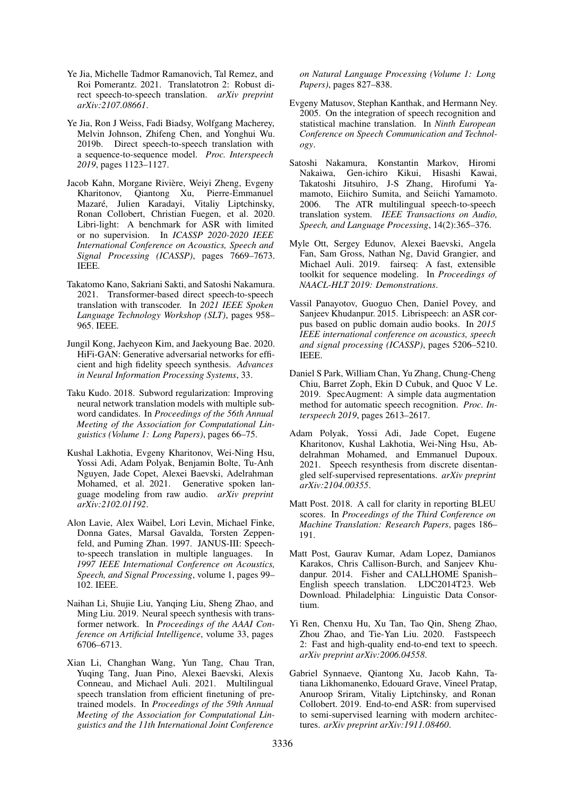- <span id="page-9-1"></span>Ye Jia, Michelle Tadmor Ramanovich, Tal Remez, and Roi Pomerantz. 2021. Translatotron 2: Robust direct speech-to-speech translation. *arXiv preprint arXiv:2107.08661*.
- <span id="page-9-0"></span>Ye Jia, Ron J Weiss, Fadi Biadsy, Wolfgang Macherey, Melvin Johnson, Zhifeng Chen, and Yonghui Wu. 2019b. Direct speech-to-speech translation with a sequence-to-sequence model. *Proc. Interspeech 2019*, pages 1123–1127.
- <span id="page-9-18"></span>Jacob Kahn, Morgane Rivière, Weiyi Zheng, Evgeny Kharitonov, Qiantong Xu, Pierre-Emmanuel Mazaré, Julien Karadayi, Vitaliy Liptchinsky, Ronan Collobert, Christian Fuegen, et al. 2020. Libri-light: A benchmark for ASR with limited or no supervision. In *ICASSP 2020-2020 IEEE International Conference on Acoustics, Speech and Signal Processing (ICASSP)*, pages 7669–7673. IEEE.
- <span id="page-9-8"></span>Takatomo Kano, Sakriani Sakti, and Satoshi Nakamura. 2021. Transformer-based direct speech-to-speech translation with transcoder. In *2021 IEEE Spoken Language Technology Workshop (SLT)*, pages 958– 965. IEEE.
- <span id="page-9-10"></span>Jungil Kong, Jaehyeon Kim, and Jaekyoung Bae. 2020. HiFi-GAN: Generative adversarial networks for efficient and high fidelity speech synthesis. *Advances in Neural Information Processing Systems*, 33.
- <span id="page-9-15"></span>Taku Kudo. 2018. Subword regularization: Improving neural network translation models with multiple subword candidates. In *Proceedings of the 56th Annual Meeting of the Association for Computational Linguistics (Volume 1: Long Papers)*, pages 66–75.
- <span id="page-9-2"></span>Kushal Lakhotia, Evgeny Kharitonov, Wei-Ning Hsu, Yossi Adi, Adam Polyak, Benjamin Bolte, Tu-Anh Nguyen, Jade Copet, Alexei Baevski, Adelrahman Mohamed, et al. 2021. Generative spoken language modeling from raw audio. *arXiv preprint arXiv:2102.01192*.
- <span id="page-9-4"></span>Alon Lavie, Alex Waibel, Lori Levin, Michael Finke, Donna Gates, Marsal Gavalda, Torsten Zeppenfeld, and Puming Zhan. 1997. JANUS-III: Speechto-speech translation in multiple languages. In *1997 IEEE International Conference on Acoustics, Speech, and Signal Processing*, volume 1, pages 99– 102. IEEE.
- <span id="page-9-17"></span>Naihan Li, Shujie Liu, Yanqing Liu, Sheng Zhao, and Ming Liu. 2019. Neural speech synthesis with transformer network. In *Proceedings of the AAAI Conference on Artificial Intelligence*, volume 33, pages 6706–6713.
- <span id="page-9-7"></span>Xian Li, Changhan Wang, Yun Tang, Chau Tran, Yuqing Tang, Juan Pino, Alexei Baevski, Alexis Conneau, and Michael Auli. 2021. Multilingual speech translation from efficient finetuning of pretrained models. In *Proceedings of the 59th Annual Meeting of the Association for Computational Linguistics and the 11th International Joint Conference*

*on Natural Language Processing (Volume 1: Long Papers)*, pages 827–838.

- <span id="page-9-6"></span>Evgeny Matusov, Stephan Kanthak, and Hermann Ney. 2005. On the integration of speech recognition and statistical machine translation. In *Ninth European Conference on Speech Communication and Technology*.
- <span id="page-9-5"></span>Satoshi Nakamura, Konstantin Markov, Hiromi Nakaiwa, Gen-ichiro Kikui, Hisashi Kawai, Takatoshi Jitsuhiro, J-S Zhang, Hirofumi Yamamoto, Eiichiro Sumita, and Seiichi Yamamoto. 2006. The ATR multilingual speech-to-speech translation system. *IEEE Transactions on Audio, Speech, and Language Processing*, 14(2):365–376.
- <span id="page-9-16"></span>Myle Ott, Sergey Edunov, Alexei Baevski, Angela Fan, Sam Gross, Nathan Ng, David Grangier, and Michael Auli. 2019. fairseq: A fast, extensible toolkit for sequence modeling. In *Proceedings of NAACL-HLT 2019: Demonstrations*.
- <span id="page-9-13"></span>Vassil Panayotov, Guoguo Chen, Daniel Povey, and Sanjeev Khudanpur. 2015. Librispeech: an ASR corpus based on public domain audio books. In *2015 IEEE international conference on acoustics, speech and signal processing (ICASSP)*, pages 5206–5210. IEEE.
- <span id="page-9-14"></span>Daniel S Park, William Chan, Yu Zhang, Chung-Cheng Chiu, Barret Zoph, Ekin D Cubuk, and Quoc V Le. 2019. SpecAugment: A simple data augmentation method for automatic speech recognition. *Proc. Interspeech 2019*, pages 2613–2617.
- <span id="page-9-3"></span>Adam Polyak, Yossi Adi, Jade Copet, Eugene Kharitonov, Kushal Lakhotia, Wei-Ning Hsu, Abdelrahman Mohamed, and Emmanuel Dupoux. 2021. Speech resynthesis from discrete disentangled self-supervised representations. *arXiv preprint arXiv:2104.00355*.
- <span id="page-9-19"></span>Matt Post. 2018. A call for clarity in reporting BLEU scores. In *Proceedings of the Third Conference on Machine Translation: Research Papers*, pages 186– 191.
- <span id="page-9-12"></span>Matt Post, Gaurav Kumar, Adam Lopez, Damianos Karakos, Chris Callison-Burch, and Sanjeev Khudanpur. 2014. Fisher and CALLHOME Spanish– English speech translation. LDC2014T23. Web Download. Philadelphia: Linguistic Data Consortium.
- <span id="page-9-11"></span>Yi Ren, Chenxu Hu, Xu Tan, Tao Qin, Sheng Zhao, Zhou Zhao, and Tie-Yan Liu. 2020. Fastspeech 2: Fast and high-quality end-to-end text to speech. *arXiv preprint arXiv:2006.04558*.
- <span id="page-9-9"></span>Gabriel Synnaeve, Qiantong Xu, Jacob Kahn, Tatiana Likhomanenko, Edouard Grave, Vineel Pratap, Anuroop Sriram, Vitaliy Liptchinsky, and Ronan Collobert. 2019. End-to-end ASR: from supervised to semi-supervised learning with modern architectures. *arXiv preprint arXiv:1911.08460*.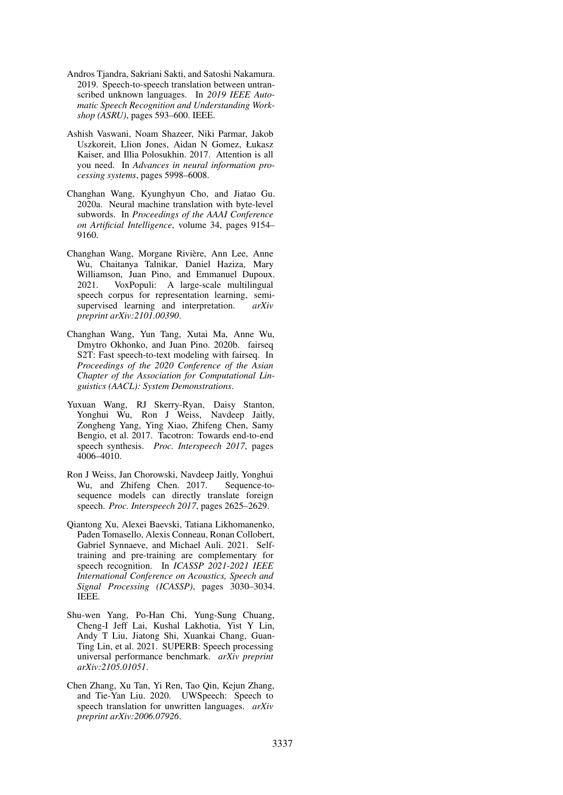- <span id="page-10-0"></span>Andros Tjandra, Sakriani Sakti, and Satoshi Nakamura. 2019. Speech-to-speech translation between untranscribed unknown languages. In *2019 IEEE Automatic Speech Recognition and Understanding Workshop (ASRU)*, pages 593–600. IEEE.
- <span id="page-10-4"></span>Ashish Vaswani, Noam Shazeer, Niki Parmar, Jakob Uszkoreit, Llion Jones, Aidan N Gomez, Łukasz Kaiser, and Illia Polosukhin. 2017. Attention is all you need. In *Advances in neural information processing systems*, pages 5998–6008.
- <span id="page-10-7"></span>Changhan Wang, Kyunghyun Cho, and Jiatao Gu. 2020a. Neural machine translation with byte-level subwords. In *Proceedings of the AAAI Conference on Artificial Intelligence*, volume 34, pages 9154– 9160.
- <span id="page-10-9"></span>Changhan Wang, Morgane Rivière, Ann Lee, Anne Wu, Chaitanya Talnikar, Daniel Haziza, Mary Williamson, Juan Pino, and Emmanuel Dupoux. 2021. VoxPopuli: A large-scale multilingual speech corpus for representation learning, semisupervised learning and interpretation. *arXiv preprint arXiv:2101.00390*.
- <span id="page-10-6"></span>Changhan Wang, Yun Tang, Xutai Ma, Anne Wu, Dmytro Okhonko, and Juan Pino. 2020b. fairseq S2T: Fast speech-to-text modeling with fairseq. In *Proceedings of the 2020 Conference of the Asian Chapter of the Association for Computational Linguistics (AACL): System Demonstrations*.
- <span id="page-10-5"></span>Yuxuan Wang, RJ Skerry-Ryan, Daisy Stanton, Yonghui Wu, Ron J Weiss, Navdeep Jaitly, Zongheng Yang, Ying Xiao, Zhifeng Chen, Samy Bengio, et al. 2017. Tacotron: Towards end-to-end speech synthesis. *Proc. Interspeech 2017*, pages 4006–4010.
- <span id="page-10-3"></span>Ron J Weiss, Jan Chorowski, Navdeep Jaitly, Yonghui Wu, and Zhifeng Chen. 2017. Sequence-tosequence models can directly translate foreign speech. *Proc. Interspeech 2017*, pages 2625–2629.
- <span id="page-10-8"></span>Qiantong Xu, Alexei Baevski, Tatiana Likhomanenko, Paden Tomasello, Alexis Conneau, Ronan Collobert, Gabriel Synnaeve, and Michael Auli. 2021. Selftraining and pre-training are complementary for speech recognition. In *ICASSP 2021-2021 IEEE International Conference on Acoustics, Speech and Signal Processing (ICASSP)*, pages 3030–3034. IEEE.
- <span id="page-10-2"></span>Shu-wen Yang, Po-Han Chi, Yung-Sung Chuang, Cheng-I Jeff Lai, Kushal Lakhotia, Yist Y Lin, Andy T Liu, Jiatong Shi, Xuankai Chang, Guan-Ting Lin, et al. 2021. SUPERB: Speech processing universal performance benchmark. *arXiv preprint arXiv:2105.01051*.
- <span id="page-10-1"></span>Chen Zhang, Xu Tan, Yi Ren, Tao Qin, Kejun Zhang, and Tie-Yan Liu. 2020. UWSpeech: Speech to speech translation for unwritten languages. *arXiv preprint arXiv:2006.07926*.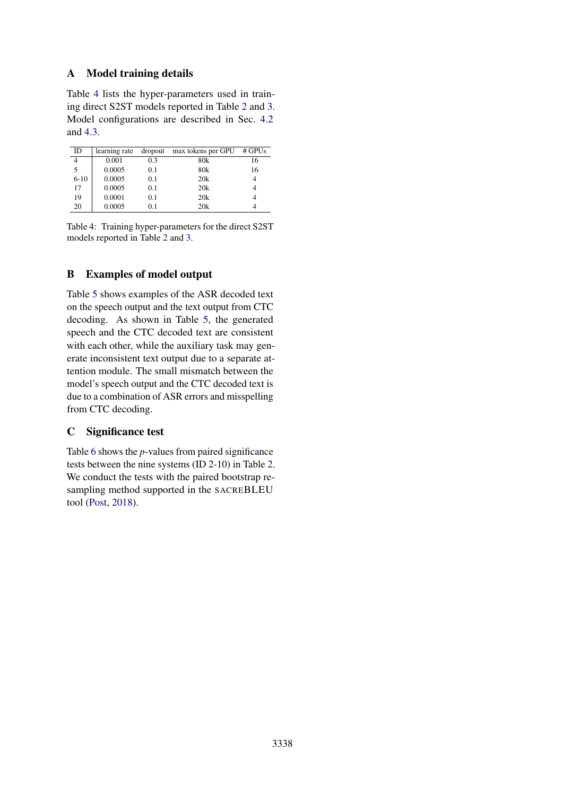# A Model training details

Table [4](#page-11-0) lists the hyper-parameters used in training direct S2ST models reported in Table [2](#page-5-2) and [3.](#page-6-0) Model configurations are described in Sec. [4.2](#page-3-3) and [4.3.](#page-4-3)

<span id="page-11-0"></span>

| ID             | learning rate | dropout | max tokens per GPU | $#$ GPUs |
|----------------|---------------|---------|--------------------|----------|
| $\overline{4}$ | 0.001         | 0.3     | 80k                | 16       |
| 5              | 0.0005        | 0.1     | 80 <sub>k</sub>    | 16       |
| $6 - 10$       | 0.0005        | 0.1     | 20k                |          |
| 17             | 0.0005        | 0.1     | 20k                |          |
| 19             | 0.0001        | 0.1     | 20k                |          |
| 20             | 0.0005        | 01      | 20k                |          |

Table 4: Training hyper-parameters for the direct S2ST models reported in Table [2](#page-5-2) and [3.](#page-6-0)

# B Examples of model output

Table [5](#page-0-1) shows examples of the ASR decoded text on the speech output and the text output from CTC decoding. As shown in Table [5,](#page-0-1) the generated speech and the CTC decoded text are consistent with each other, while the auxiliary task may generate inconsistent text output due to a separate attention module. The small mismatch between the model's speech output and the CTC decoded text is due to a combination of ASR errors and misspelling from CTC decoding.

# C Significance test

Table [6](#page-12-0) shows the *p*-values from paired significance tests between the nine systems (ID 2-10) in Table [2.](#page-5-2) We conduct the tests with the paired bootstrap resampling method supported in the SACREBLEU tool [\(Post,](#page-9-19) [2018\)](#page-9-19).